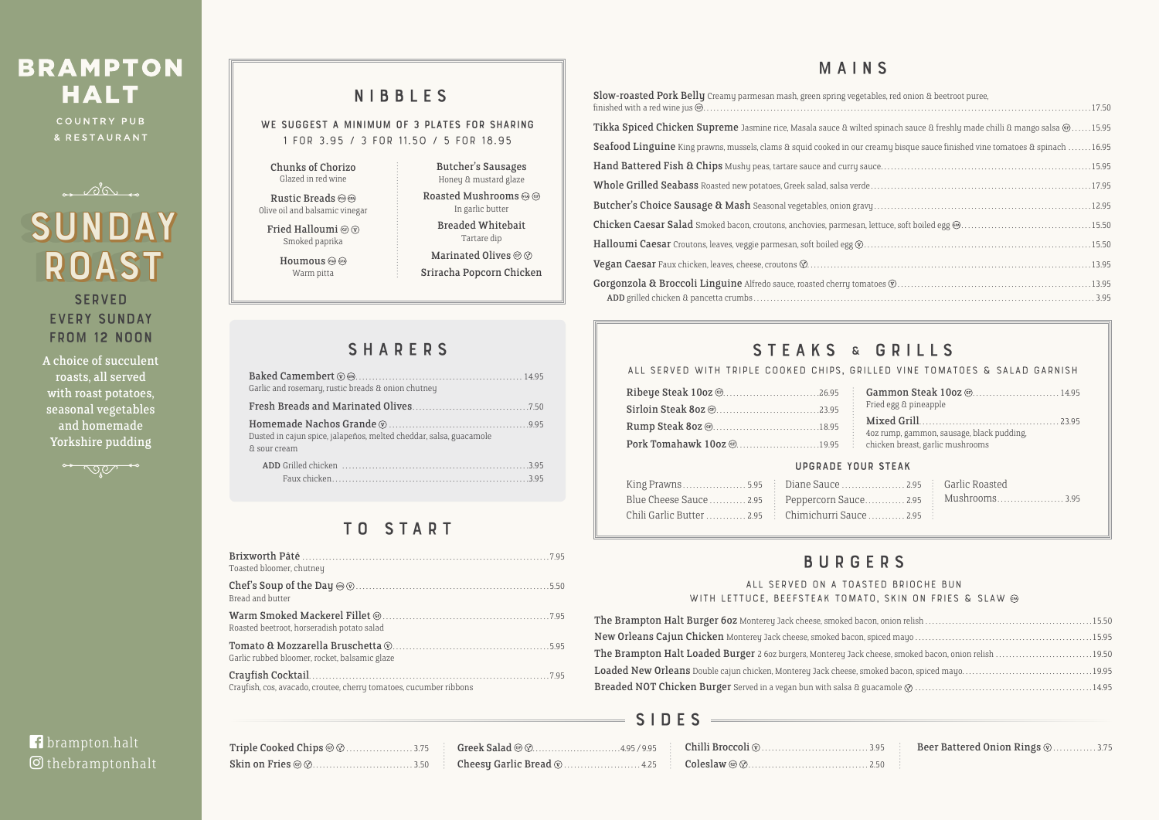# **BRAMPTON HALT**

COUNTRY PUB & RESTAURANT



| Triple Cooked Chips $\circledcirc\circ\ldots\ldots\ldots\ldots\ldots\ldots\ldots\ldots\ldots\ldots\quad$ Greek : |  |
|------------------------------------------------------------------------------------------------------------------|--|
|                                                                                                                  |  |

WE SUGGEST A MINIMUM OF 3 PLATES FOR SHARING **1 for 3.95 / 3 for 11.50 / 5 for 18.95**

Rustic Breads  $\circledcirc\circ$ Olive oil and balsamic vinegar Fried Halloumi @  $\circledcirc$ Smoked paprika

Houmous  $\textcircled{\tiny{\textcircled{\tiny{M}}}}$ Warm pitta

### **All served on a toasted brioche bun**  WITH LETTUCE, BEEFSTEAK TOMATO

The Brampton Halt Burger 60z Monterey Jack cheese, smoked bacon New Orleans Cajun Chicken Monterey Jack cheese, smoked bacon, spi The Brampton Halt Loaded Burger 2 6oz burgers, Monterey Jack che Loaded New Orleans Double cajun chicken, Monterey Jack cheese, smol Breaded NOT Chicken Burger Served in a vegan bun with salsa & gua

| Toasted bloomer, chutney                                           |
|--------------------------------------------------------------------|
| Bread and butter                                                   |
| Roasted beetroot, horseradish potato salad                         |
| Garlic rubbed bloomer, rocket, balsamic glaze                      |
| Crayfish, cos, avacado, croutee, cherry tomatoes, cucumber ribbons |

## NIBBLES

Chunks of Chorizo Glazed in red wine

Butcher's Sausages Honey & mustard glaze Roasted Mushrooms @ @ In garlic butter

Breaded Whitebait Tartare dip

Marinated Olives @  $\oslash$ 

Sriracha Popcorn Chicken

### **SHARERS**

## BURGERS

## MAINS

| les, red onion & beetroot puree,                         |  |
|----------------------------------------------------------|--|
|                                                          |  |
| spinach sauce & freshly made chilli & mango salsa @15.95 |  |
| amy bisque sauce finished vine tomatoes & spinach 16.95  |  |
|                                                          |  |
|                                                          |  |
|                                                          |  |
|                                                          |  |
|                                                          |  |
|                                                          |  |
|                                                          |  |
|                                                          |  |

|  | ED VINE TOMATOES & SALAD GARNISH. |  |  |
|--|-----------------------------------|--|--|
|  |                                   |  |  |

| ED DRIULAE DUN I                       |
|----------------------------------------|
| , SKIN ON FRIES & SLAW ®               |
|                                        |
|                                        |
| eese, smoked bacon, onion relish 19.50 |
|                                        |
|                                        |
|                                        |

**SERVED** EVERY SUNDAY from 12 Noon

# sunday sunday ROAST

| Slow-roasted Pork Belly Creamy parmesan mash, green spring vegetables, red onion & beetroot puree,                                   |  |
|--------------------------------------------------------------------------------------------------------------------------------------|--|
| Tikka Spiced Chicken Supreme Jasmine rice, Masala sauce & wilted spinach sauce & freshly made chilli & mango salsa @15.95            |  |
| <b>Seafood Linguine</b> King prawns, mussels, clams & squid cooked in our creamy bisque sauce finished vine tomatoes & spinach 16.95 |  |
|                                                                                                                                      |  |
|                                                                                                                                      |  |
|                                                                                                                                      |  |
|                                                                                                                                      |  |
|                                                                                                                                      |  |
|                                                                                                                                      |  |
|                                                                                                                                      |  |
|                                                                                                                                      |  |

### STEAKS & GRILLS

### ALL SERVED WITH TRIPLE COOKED CHIPS, GRILL

| Garlic and rosemary, rustic breads & onion chutney                                 |  |
|------------------------------------------------------------------------------------|--|
|                                                                                    |  |
| Dusted in cajun spice, jalapeños, melted cheddar, salsa, guacamole<br>& sour cream |  |
|                                                                                    |  |

## TO START

A choice of succulent roasts, all served with roast potatoes, seasonal vegetables and homemade Yorkshire pudding



# **f** brampton.halt

### thebramptonhalt

### S I D E S

|                                                            | Fried egg & pineapple                     |
|------------------------------------------------------------|-------------------------------------------|
| Pork Tomahawk 10oz @19.95 chicken breast, garlic mushrooms | 4oz rump, gammon, sausage, black pudding, |

### Upgrade your steak

| King Prawns5.95 Diane Sauce 2.95 Garlic Roasted                   |  |  |
|-------------------------------------------------------------------|--|--|
| Blue Cheese Sauce  2.95   Peppercorn Sauce  2.95   Mushrooms 3.95 |  |  |
| Chili Garlic Butter  2.95 Chimichurri Sauce  2.95                 |  |  |